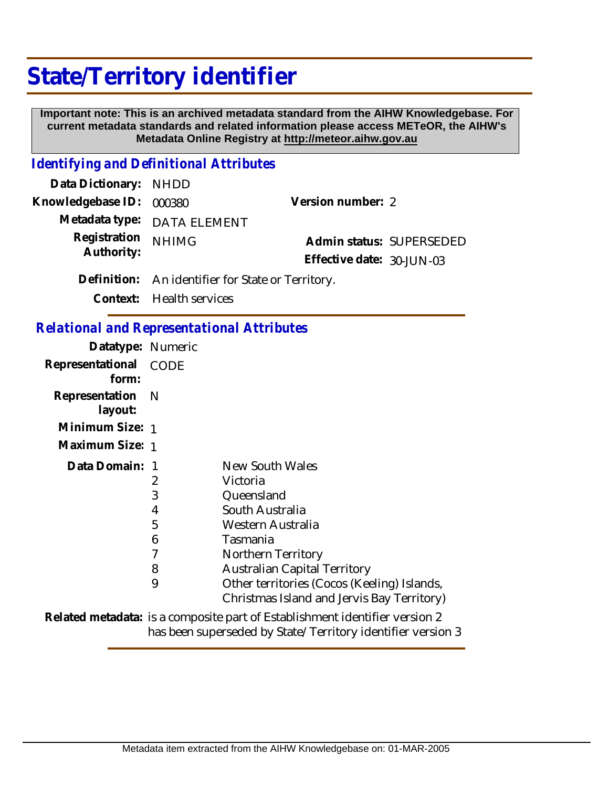## **State/Territory identifier**

 **Important note: This is an archived metadata standard from the AIHW Knowledgebase. For current metadata standards and related information please access METeOR, the AIHW's Metadata Online Registry at http://meteor.aihw.gov.au**

## *Identifying and Definitional Attributes*

| Data Dictionary: NHDD    |                                                   |                           |  |
|--------------------------|---------------------------------------------------|---------------------------|--|
| Knowledgebase ID: 000380 |                                                   | Version number: 2         |  |
|                          | Metadata type: DATA ELEMENT                       |                           |  |
| Registration             | <b>NHIMG</b>                                      | Admin status: SUPERSEDED  |  |
| Authority:               |                                                   | Effective date: 30-JUN-03 |  |
|                          | Definition: An identifier for State or Territory. |                           |  |
|                          | Context: Health services                          |                           |  |

*Relational and Representational Attributes*

| Datatype: Numeric              |   |                                                                                           |
|--------------------------------|---|-------------------------------------------------------------------------------------------|
| Representational CODE<br>form: |   |                                                                                           |
| Representation N<br>layout:    |   |                                                                                           |
| Minimum Size: 1                |   |                                                                                           |
| Maximum Size: 1                |   |                                                                                           |
| Data Domain: 1                 |   | New South Wales                                                                           |
|                                | 2 | Victoria                                                                                  |
|                                | 3 | Queensland                                                                                |
|                                | 4 | South Australia                                                                           |
|                                | 5 | Western Australia                                                                         |
|                                | 6 | Tasmania                                                                                  |
|                                | 7 | Northern Territory                                                                        |
|                                | 8 | <b>Australian Capital Territory</b>                                                       |
|                                | 9 | Other territories (Cocos (Keeling) Islands,<br>Christmas Island and Jervis Bay Territory) |
|                                |   | Dolated metadatary is a composite part of Establishment identifier version 2              |

Related metadata: is a composite part of Establishment identifier version 2 has been superseded by State/Territory identifier version 3